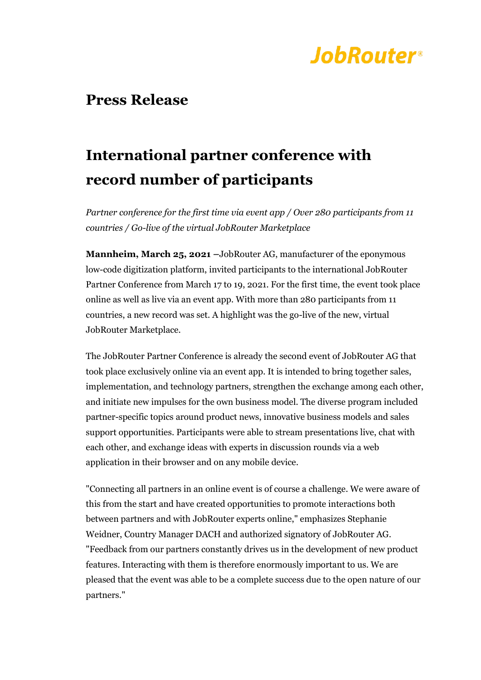

### **Press Release**

## **International partner conference with record number of participants**

*Partner conference for the first time via event app / Over 280 participants from 11 countries / Go-live of the virtual JobRouter Marketplace*

**Mannheim, March 25, 2021 –**JobRouter AG, manufacturer of the eponymous low-code digitization platform, invited participants to the international JobRouter Partner Conference from March 17 to 19, 2021. For the first time, the event took place online as well as live via an event app. With more than 280 participants from 11 countries, a new record was set. A highlight was the go-live of the new, virtual JobRouter Marketplace.

The JobRouter Partner Conference is already the second event of JobRouter AG that took place exclusively online via an event app. It is intended to bring together sales, implementation, and technology partners, strengthen the exchange among each other, and initiate new impulses for the own business model. The diverse program included partner-specific topics around product news, innovative business models and sales support opportunities. Participants were able to stream presentations live, chat with each other, and exchange ideas with experts in discussion rounds via a web application in their browser and on any mobile device.

"Connecting all partners in an online event is of course a challenge. We were aware of this from the start and have created opportunities to promote interactions both between partners and with JobRouter experts online," emphasizes Stephanie Weidner, Country Manager DACH and authorized signatory of JobRouter AG. "Feedback from our partners constantly drives us in the development of new product features. Interacting with them is therefore enormously important to us. We are pleased that the event was able to be a complete success due to the open nature of our partners."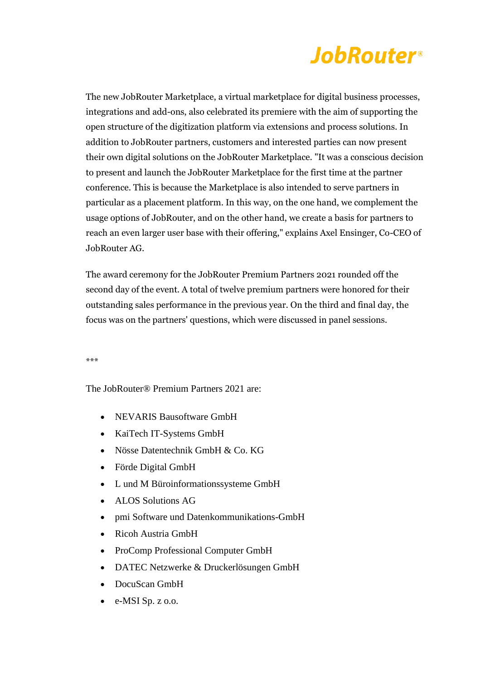# **JobRouter**®

The new JobRouter Marketplace, a virtual marketplace for digital business processes, integrations and add-ons, also celebrated its premiere with the aim of supporting the open structure of the digitization platform via extensions and process solutions. In addition to JobRouter partners, customers and interested parties can now present their own digital solutions on the JobRouter Marketplace. "It was a conscious decision to present and launch the JobRouter Marketplace for the first time at the partner conference. This is because the Marketplace is also intended to serve partners in particular as a placement platform. In this way, on the one hand, we complement the usage options of JobRouter, and on the other hand, we create a basis for partners to reach an even larger user base with their offering," explains Axel Ensinger, Co-CEO of JobRouter AG.

The award ceremony for the JobRouter Premium Partners 2021 rounded off the second day of the event. A total of twelve premium partners were honored for their outstanding sales performance in the previous year. On the third and final day, the focus was on the partners' questions, which were discussed in panel sessions.

\*\*\*

The JobRouter® Premium Partners 2021 are:

- NEVARIS Bausoftware GmbH
- KaiTech IT-Systems GmbH
- Nösse Datentechnik GmbH & Co. KG
- Förde Digital GmbH
- L und M Büroinformationssysteme GmbH
- ALOS Solutions AG
- pmi Software und Datenkommunikations-GmbH
- Ricoh Austria GmbH
- ProComp Professional Computer GmbH
- DATEC Netzwerke & Druckerlösungen GmbH
- DocuScan GmbH
- e-MSI Sp. z o.o.